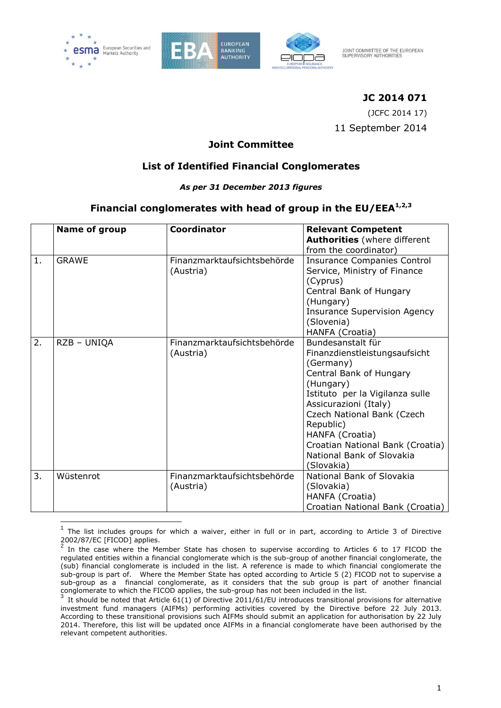

-





JOINT COMMITTEE OF THE EUROPEAN SUPERVISORY AUTHORITIES

# **JC 2014 071**

(JCFC 2014 17) 11 September 2014

## **Joint Committee**

# **List of Identified Financial Conglomerates**

#### *As per 31 December 2013 figures*

## **Financial conglomerates with head of group in the EU/EEA1,2,3**

|    | Name of group | <b>Coordinator</b>                       | <b>Relevant Competent</b><br><b>Authorities</b> (where different<br>from the coordinator)                                                                                                                                                                                                                        |
|----|---------------|------------------------------------------|------------------------------------------------------------------------------------------------------------------------------------------------------------------------------------------------------------------------------------------------------------------------------------------------------------------|
| 1. | <b>GRAWE</b>  | Finanzmarktaufsichtsbehörde<br>(Austria) | <b>Insurance Companies Control</b><br>Service, Ministry of Finance<br>(Cyprus)<br>Central Bank of Hungary<br>(Hungary)<br><b>Insurance Supervision Agency</b><br>(Slovenia)<br>HANFA (Croatia)                                                                                                                   |
| 2. | RZB - UNIQA   | Finanzmarktaufsichtsbehörde<br>(Austria) | Bundesanstalt für<br>Finanzdienstleistungsaufsicht<br>(Germany)<br>Central Bank of Hungary<br>(Hungary)<br>Istituto per la Vigilanza sulle<br>Assicurazioni (Italy)<br>Czech National Bank (Czech<br>Republic)<br>HANFA (Croatia)<br>Croatian National Bank (Croatia)<br>National Bank of Slovakia<br>(Slovakia) |
| 3. | Wüstenrot     | Finanzmarktaufsichtsbehörde<br>(Austria) | National Bank of Slovakia<br>(Slovakia)<br>HANFA (Croatia)<br>Croatian National Bank (Croatia)                                                                                                                                                                                                                   |

<sup>1</sup> The list includes groups for which a waiver, either in full or in part, according to Article 3 of Directive 2002/87/EC [FICOD] applies.

In the case where the Member State has chosen to supervise according to Articles 6 to 17 FICOD the regulated entities within a financial conglomerate which is the sub-group of another financial conglomerate, the (sub) financial conglomerate is included in the list. A reference is made to which financial conglomerate the sub-group is part of. Where the Member State has opted according to Article 5 (2) FICOD not to supervise a sub-group as a financial conglomerate, as it considers that the sub group is part of another financial conglomerate to which the FICOD applies, the sub-group has not been included in the list.<br><sup>3</sup> It should be noted that Article 61(1) of Directive 2011/61/EU introduces transitional provisions for alternative

investment fund managers (AIFMs) performing activities covered by the Directive before 22 July 2013. According to these transitional provisions such AIFMs should submit an application for authorisation by 22 July 2014. Therefore, this list will be updated once AIFMs in a financial conglomerate have been authorised by the relevant competent authorities.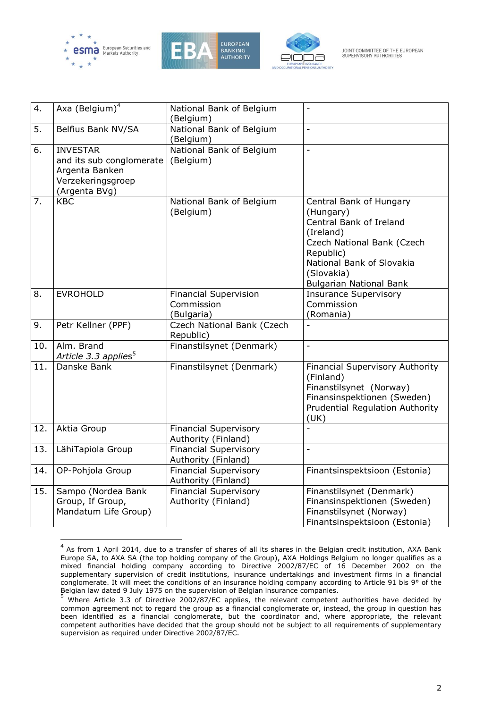





JOINT COMMITTEE OF THE EUROPEAN SUPERVISORY AUTHORITIES

| 4.  | Axa (Belgium) <sup>4</sup>                                                                          | National Bank of Belgium                                 |                                                                                                                                                                                                      |
|-----|-----------------------------------------------------------------------------------------------------|----------------------------------------------------------|------------------------------------------------------------------------------------------------------------------------------------------------------------------------------------------------------|
| 5.  | Belfius Bank NV/SA                                                                                  | (Belgium)<br>National Bank of Belgium                    | $\overline{a}$                                                                                                                                                                                       |
| 6.  | <b>INVESTAR</b><br>and its sub conglomerate<br>Argenta Banken<br>Verzekeringsgroep<br>(Argenta BVg) | (Belgium)<br>National Bank of Belgium<br>(Belgium)       | $\overline{a}$                                                                                                                                                                                       |
| 7.  | <b>KBC</b>                                                                                          | National Bank of Belgium<br>(Belgium)                    | Central Bank of Hungary<br>(Hungary)<br>Central Bank of Ireland<br>(Ireland)<br>Czech National Bank (Czech<br>Republic)<br>National Bank of Slovakia<br>(Slovakia)<br><b>Bulgarian National Bank</b> |
| 8.  | <b>EVROHOLD</b>                                                                                     | <b>Financial Supervision</b><br>Commission<br>(Bulgaria) | <b>Insurance Supervisory</b><br>Commission<br>(Romania)                                                                                                                                              |
| 9.  | Petr Kellner (PPF)                                                                                  | Czech National Bank (Czech<br>Republic)                  |                                                                                                                                                                                                      |
| 10. | Alm. Brand<br>Article 3.3 applies <sup>5</sup>                                                      | Finanstilsynet (Denmark)                                 |                                                                                                                                                                                                      |
| 11. | Danske Bank                                                                                         | Finanstilsynet (Denmark)                                 | <b>Financial Supervisory Authority</b><br>(Finland)<br>Finanstilsynet (Norway)<br>Finansinspektionen (Sweden)<br><b>Prudential Regulation Authority</b><br>(UK)                                      |
| 12. | Aktia Group                                                                                         | <b>Financial Supervisory</b><br>Authority (Finland)      | $\overline{a}$                                                                                                                                                                                       |
| 13. | LähiTapiola Group                                                                                   | <b>Financial Supervisory</b><br>Authority (Finland)      | $\overline{a}$                                                                                                                                                                                       |
| 14. | OP-Pohjola Group                                                                                    | <b>Financial Supervisory</b><br>Authority (Finland)      | Finantsinspektsioon (Estonia)                                                                                                                                                                        |
| 15. | Sampo (Nordea Bank<br>Group, If Group,<br>Mandatum Life Group)                                      | <b>Financial Supervisory</b><br>Authority (Finland)      | Finanstilsynet (Denmark)<br>Finansinspektionen (Sweden)<br>Finanstilsynet (Norway)<br>Finantsinspektsioon (Estonia)                                                                                  |

 4 As from 1 April 2014, due to a transfer of shares of all its shares in the Belgian credit institution, AXA Bank Europe SA, to AXA SA (the top holding company of the Group), AXA Holdings Belgium no longer qualifies as a mixed financial holding company according to Directive 2002/87/EC of 16 December 2002 on the supplementary supervision of credit institutions, insurance undertakings and investment firms in a financial conglomerate. It will meet the conditions of an insurance holding company according to Article 91 bis 9° of the

Belgian law dated 9 July 1975 on the supervision of Belgian insurance companies.<br><sup>5</sup> Where Article 3.3 of Directive 2002/87/EC applies, the relevant competent authorities have decided by common agreement not to regard the group as a financial conglomerate or, instead, the group in question has been identified as a financial conglomerate, but the coordinator and, where appropriate, the relevant competent authorities have decided that the group should not be subject to all requirements of supplementary supervision as required under Directive 2002/87/EC.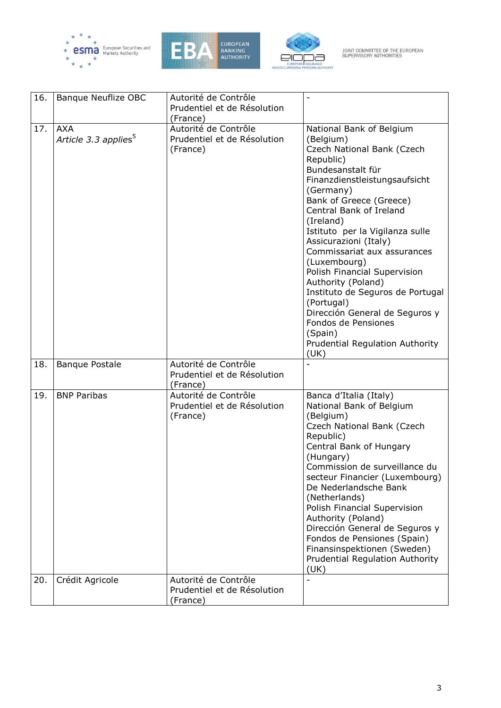





JOINT COMMITTEE OF THE EUROPEAN<br>SUPERVISORY AUTHORITIES

| 16. | Banque Neuflize OBC                            | Autorité de Contrôle<br>Prudentiel et de Résolution             |                                                                                                                                                                                                                                                                                                                                                                                                                                                                                                                                                          |
|-----|------------------------------------------------|-----------------------------------------------------------------|----------------------------------------------------------------------------------------------------------------------------------------------------------------------------------------------------------------------------------------------------------------------------------------------------------------------------------------------------------------------------------------------------------------------------------------------------------------------------------------------------------------------------------------------------------|
|     |                                                | (France)                                                        |                                                                                                                                                                                                                                                                                                                                                                                                                                                                                                                                                          |
| 17. | <b>AXA</b><br>Article 3.3 applies <sup>5</sup> | Autorité de Contrôle<br>Prudentiel et de Résolution<br>(France) | National Bank of Belgium<br>(Belgium)<br>Czech National Bank (Czech<br>Republic)<br>Bundesanstalt für<br>Finanzdienstleistungsaufsicht<br>(Germany)<br>Bank of Greece (Greece)<br>Central Bank of Ireland<br>(Ireland)<br>Istituto per la Vigilanza sulle<br>Assicurazioni (Italy)<br>Commissariat aux assurances<br>(Luxembourg)<br>Polish Financial Supervision<br>Authority (Poland)<br>Instituto de Seguros de Portugal<br>(Portugal)<br>Dirección General de Seguros y<br>Fondos de Pensiones<br>(Spain)<br>Prudential Regulation Authority<br>(UK) |
| 18. | <b>Banque Postale</b>                          | Autorité de Contrôle<br>Prudentiel et de Résolution<br>(France) |                                                                                                                                                                                                                                                                                                                                                                                                                                                                                                                                                          |
| 19. | <b>BNP Paribas</b>                             | Autorité de Contrôle<br>Prudentiel et de Résolution<br>(France) | Banca d'Italia (Italy)<br>National Bank of Belgium<br>(Belgium)<br>Czech National Bank (Czech<br>Republic)<br>Central Bank of Hungary<br>(Hungary)<br>Commission de surveillance du<br>secteur Financier (Luxembourg)<br>De Nederlandsche Bank<br>(Netherlands)<br>Polish Financial Supervision<br>Authority (Poland)<br>Dirección General de Seguros y<br>Fondos de Pensiones (Spain)<br>Finansinspektionen (Sweden)<br><b>Prudential Regulation Authority</b><br>(UK)                                                                                  |
| 20. | Crédit Agricole                                | Autorité de Contrôle<br>Prudentiel et de Résolution<br>(France) |                                                                                                                                                                                                                                                                                                                                                                                                                                                                                                                                                          |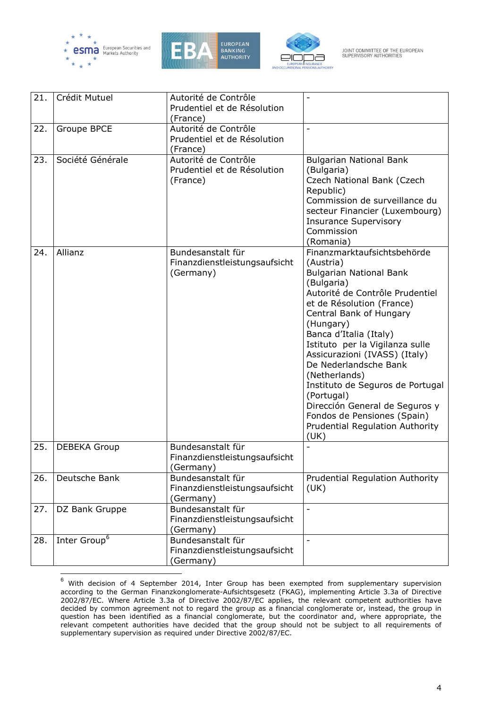

 $\overline{a}$ 





JOINT COMMITTEE OF THE EUROPEAN<br>SUPERVISORY AUTHORITIES

| 21. | Crédit Mutuel            | Autorité de Contrôle<br>Prudentiel et de Résolution<br>(France) |                                                                                                                                                                                                                                                                                                                                                                                                                                                                                                        |
|-----|--------------------------|-----------------------------------------------------------------|--------------------------------------------------------------------------------------------------------------------------------------------------------------------------------------------------------------------------------------------------------------------------------------------------------------------------------------------------------------------------------------------------------------------------------------------------------------------------------------------------------|
| 22. | Groupe BPCE              | Autorité de Contrôle<br>Prudentiel et de Résolution<br>(France) |                                                                                                                                                                                                                                                                                                                                                                                                                                                                                                        |
| 23. | Société Générale         | Autorité de Contrôle<br>Prudentiel et de Résolution<br>(France) | <b>Bulgarian National Bank</b><br>(Bulgaria)<br>Czech National Bank (Czech<br>Republic)<br>Commission de surveillance du<br>secteur Financier (Luxembourg)<br><b>Insurance Supervisory</b><br>Commission<br>(Romania)                                                                                                                                                                                                                                                                                  |
| 24. | Allianz                  | Bundesanstalt für<br>Finanzdienstleistungsaufsicht<br>(Germany) | Finanzmarktaufsichtsbehörde<br>(Austria)<br><b>Bulgarian National Bank</b><br>(Bulgaria)<br>Autorité de Contrôle Prudentiel<br>et de Résolution (France)<br>Central Bank of Hungary<br>(Hungary)<br>Banca d'Italia (Italy)<br>Istituto per la Vigilanza sulle<br>Assicurazioni (IVASS) (Italy)<br>De Nederlandsche Bank<br>(Netherlands)<br>Instituto de Seguros de Portugal<br>(Portugal)<br>Dirección General de Seguros y<br>Fondos de Pensiones (Spain)<br>Prudential Regulation Authority<br>(UK) |
| 25. | <b>DEBEKA Group</b>      | Bundesanstalt für<br>Finanzdienstleistungsaufsicht<br>(Germany) |                                                                                                                                                                                                                                                                                                                                                                                                                                                                                                        |
| 26. | Deutsche Bank            | Bundesanstalt für<br>Finanzdienstleistungsaufsicht<br>(Germany) | <b>Prudential Regulation Authority</b><br>(UK)                                                                                                                                                                                                                                                                                                                                                                                                                                                         |
| 27. | DZ Bank Gruppe           | Bundesanstalt für<br>Finanzdienstleistungsaufsicht<br>(Germany) | $\overline{a}$                                                                                                                                                                                                                                                                                                                                                                                                                                                                                         |
| 28. | Inter Group <sup>6</sup> | Bundesanstalt für<br>Finanzdienstleistungsaufsicht<br>(Germany) |                                                                                                                                                                                                                                                                                                                                                                                                                                                                                                        |

 $6$  With decision of 4 September 2014, Inter Group has been exempted from supplementary supervision according to the German Finanzkonglomerate-Aufsichtsgesetz (FKAG), implementing Article 3.3a of Directive 2002/87/EC. Where Article 3.3a of Directive 2002/87/EC applies, the relevant competent authorities have decided by common agreement not to regard the group as a financial conglomerate or, instead, the group in question has been identified as a financial conglomerate, but the coordinator and, where appropriate, the relevant competent authorities have decided that the group should not be subject to all requirements of supplementary supervision as required under Directive 2002/87/EC.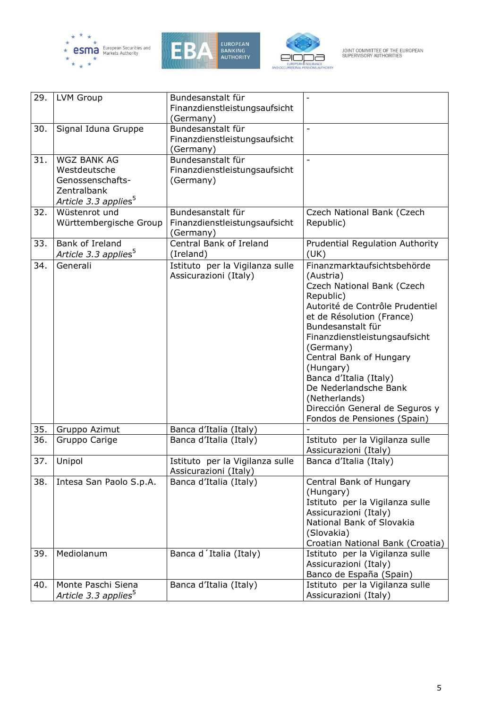





JOINT COMMITTEE OF THE EUROPEAN<br>SUPERVISORY AUTHORITIES

| 29. | <b>LVM Group</b>                                                                                          | Bundesanstalt für<br>Finanzdienstleistungsaufsicht<br>(Germany) |                                                                                                                                                                                                                                                                                                                                                                                                     |
|-----|-----------------------------------------------------------------------------------------------------------|-----------------------------------------------------------------|-----------------------------------------------------------------------------------------------------------------------------------------------------------------------------------------------------------------------------------------------------------------------------------------------------------------------------------------------------------------------------------------------------|
| 30. | Signal Iduna Gruppe                                                                                       | Bundesanstalt für<br>Finanzdienstleistungsaufsicht<br>(Germany) |                                                                                                                                                                                                                                                                                                                                                                                                     |
| 31. | <b>WGZ BANK AG</b><br>Westdeutsche<br>Genossenschafts-<br>Zentralbank<br>Article 3.3 applies <sup>5</sup> | Bundesanstalt für<br>Finanzdienstleistungsaufsicht<br>(Germany) | $\overline{a}$                                                                                                                                                                                                                                                                                                                                                                                      |
| 32. | Wüstenrot und<br>Württembergische Group                                                                   | Bundesanstalt für<br>Finanzdienstleistungsaufsicht<br>(Germany) | Czech National Bank (Czech<br>Republic)                                                                                                                                                                                                                                                                                                                                                             |
| 33. | Bank of Ireland<br>Article 3.3 applies <sup>5</sup>                                                       | Central Bank of Ireland<br>(Ireland)                            | Prudential Regulation Authority<br>(UK)                                                                                                                                                                                                                                                                                                                                                             |
| 34. | Generali                                                                                                  | Istituto per la Vigilanza sulle<br>Assicurazioni (Italy)        | Finanzmarktaufsichtsbehörde<br>(Austria)<br>Czech National Bank (Czech<br>Republic)<br>Autorité de Contrôle Prudentiel<br>et de Résolution (France)<br>Bundesanstalt für<br>Finanzdienstleistungsaufsicht<br>(Germany)<br>Central Bank of Hungary<br>(Hungary)<br>Banca d'Italia (Italy)<br>De Nederlandsche Bank<br>(Netherlands)<br>Dirección General de Seguros y<br>Fondos de Pensiones (Spain) |
| 35. | Gruppo Azimut                                                                                             | Banca d'Italia (Italy)                                          |                                                                                                                                                                                                                                                                                                                                                                                                     |
| 36. | Gruppo Carige                                                                                             | Banca d'Italia (Italy)                                          | Istituto per la Vigilanza sulle<br>Assicurazioni (Italy)                                                                                                                                                                                                                                                                                                                                            |
| 37. | Unipol                                                                                                    | Istituto per la Vigilanza sulle<br>Assicurazioni (Italy)        | Banca d'Italia (Italy)                                                                                                                                                                                                                                                                                                                                                                              |
| 38. | Intesa San Paolo S.p.A.                                                                                   | Banca d'Italia (Italy)                                          | Central Bank of Hungary<br>(Hungary)<br>Istituto per la Vigilanza sulle<br>Assicurazioni (Italy)<br>National Bank of Slovakia<br>(Slovakia)<br>Croatian National Bank (Croatia)                                                                                                                                                                                                                     |
| 39. | Mediolanum                                                                                                | Banca d'Italia (Italy)                                          | Istituto per la Vigilanza sulle<br>Assicurazioni (Italy)<br>Banco de España (Spain)                                                                                                                                                                                                                                                                                                                 |
| 40. | Monte Paschi Siena<br>Article 3.3 applies <sup>5</sup>                                                    | Banca d'Italia (Italy)                                          | Istituto per la Vigilanza sulle<br>Assicurazioni (Italy)                                                                                                                                                                                                                                                                                                                                            |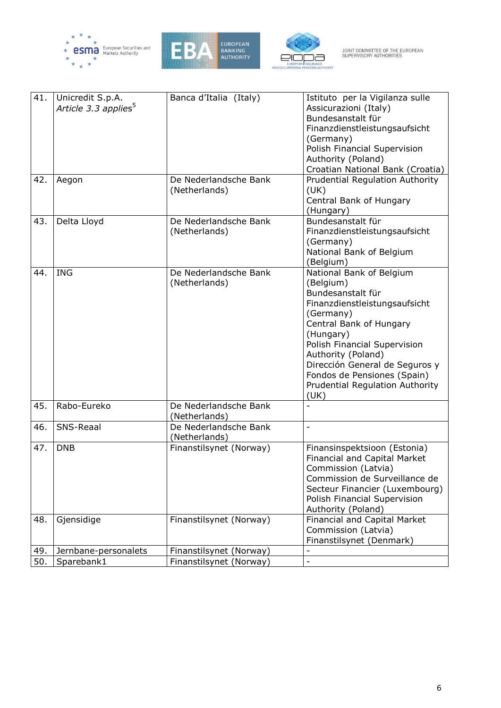





| 41. | Unicredit S.p.A.<br>Article 3.3 applies <sup>5</sup> | Banca d'Italia (Italy)                 | Istituto per la Vigilanza sulle<br>Assicurazioni (Italy)<br>Bundesanstalt für<br>Finanzdienstleistungsaufsicht<br>(Germany)<br>Polish Financial Supervision<br>Authority (Poland)<br>Croatian National Bank (Croatia)                                                                                                     |
|-----|------------------------------------------------------|----------------------------------------|---------------------------------------------------------------------------------------------------------------------------------------------------------------------------------------------------------------------------------------------------------------------------------------------------------------------------|
| 42. | Aegon                                                | De Nederlandsche Bank<br>(Netherlands) | <b>Prudential Regulation Authority</b><br>(UK)<br>Central Bank of Hungary<br>(Hungary)                                                                                                                                                                                                                                    |
| 43. | Delta Lloyd                                          | De Nederlandsche Bank<br>(Netherlands) | Bundesanstalt für<br>Finanzdienstleistungsaufsicht<br>(Germany)<br>National Bank of Belgium<br>(Belgium)                                                                                                                                                                                                                  |
| 44. | <b>ING</b>                                           | De Nederlandsche Bank<br>(Netherlands) | National Bank of Belgium<br>(Belgium)<br>Bundesanstalt für<br>Finanzdienstleistungsaufsicht<br>(Germany)<br>Central Bank of Hungary<br>(Hungary)<br>Polish Financial Supervision<br>Authority (Poland)<br>Dirección General de Seguros y<br>Fondos de Pensiones (Spain)<br><b>Prudential Regulation Authority</b><br>(UK) |
| 45. | Rabo-Eureko                                          | De Nederlandsche Bank<br>(Netherlands) |                                                                                                                                                                                                                                                                                                                           |
| 46. | SNS-Reaal                                            | De Nederlandsche Bank<br>(Netherlands) | $\overline{\phantom{0}}$                                                                                                                                                                                                                                                                                                  |
| 47. | <b>DNB</b>                                           | Finanstilsynet (Norway)                | Finansinspektsioon (Estonia)<br>Financial and Capital Market<br>Commission (Latvia)<br>Commission de Surveillance de<br>Secteur Financier (Luxembourg)<br>Polish Financial Supervision<br>Authority (Poland)                                                                                                              |
| 48. | Gjensidige                                           | Finanstilsynet (Norway)                | Financial and Capital Market<br>Commission (Latvia)<br>Finanstilsynet (Denmark)                                                                                                                                                                                                                                           |
| 49. | Jernbane-personalets                                 | Finanstilsynet (Norway)                |                                                                                                                                                                                                                                                                                                                           |
| 50. | Sparebank1                                           | Finanstilsynet (Norway)                | $\overline{a}$                                                                                                                                                                                                                                                                                                            |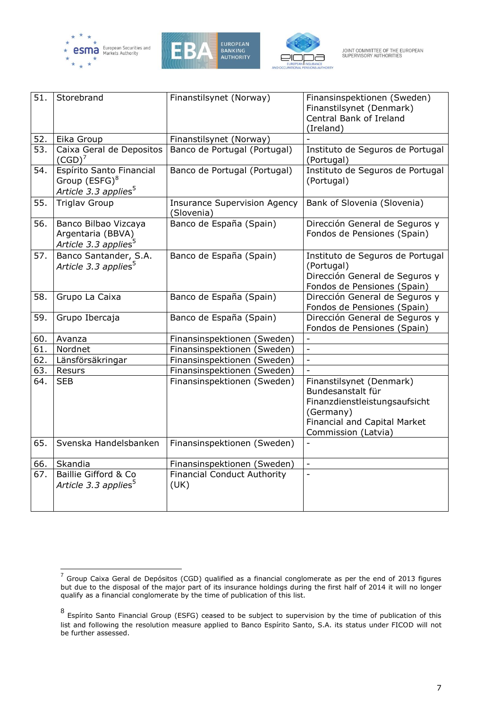





| 51. | Storebrand                                                                                | Finanstilsynet (Norway)                           | Finansinspektionen (Sweden)<br>Finanstilsynet (Denmark)<br>Central Bank of Ireland<br>(Ireland)                                                    |
|-----|-------------------------------------------------------------------------------------------|---------------------------------------------------|----------------------------------------------------------------------------------------------------------------------------------------------------|
| 52. | Eika Group                                                                                | Finanstilsynet (Norway)                           |                                                                                                                                                    |
| 53. | Caixa Geral de Depositos<br>$(CGD)^7$                                                     | Banco de Portugal (Portugal)                      | Instituto de Seguros de Portugal<br>(Portugal)                                                                                                     |
| 54. | Espírito Santo Financial<br>Group (ESFG) <sup>8</sup><br>Article 3.3 applies <sup>5</sup> | Banco de Portugal (Portugal)                      | Instituto de Seguros de Portugal<br>(Portugal)                                                                                                     |
| 55. | <b>Triglav Group</b>                                                                      | <b>Insurance Supervision Agency</b><br>(Slovenia) | Bank of Slovenia (Slovenia)                                                                                                                        |
| 56. | Banco Bilbao Vizcaya<br>Argentaria (BBVA)<br>Article 3.3 applies <sup>5</sup>             | Banco de España (Spain)                           | Dirección General de Seguros y<br>Fondos de Pensiones (Spain)                                                                                      |
| 57. | Banco Santander, S.A.<br>Article 3.3 applies <sup>5</sup>                                 | Banco de España (Spain)                           | Instituto de Seguros de Portugal<br>(Portugal)<br>Dirección General de Seguros y<br>Fondos de Pensiones (Spain)                                    |
| 58. | Grupo La Caixa                                                                            | Banco de España (Spain)                           | Dirección General de Seguros y<br>Fondos de Pensiones (Spain)                                                                                      |
| 59. | Grupo Ibercaja                                                                            | Banco de España (Spain)                           | Dirección General de Seguros y<br>Fondos de Pensiones (Spain)                                                                                      |
| 60. | Avanza                                                                                    | Finansinspektionen (Sweden)                       | $\blacksquare$                                                                                                                                     |
| 61. | Nordnet                                                                                   | Finansinspektionen (Sweden)                       | $\overline{\phantom{a}}$                                                                                                                           |
| 62. | Länsförsäkringar                                                                          | Finansinspektionen (Sweden)                       | $\overline{\phantom{a}}$                                                                                                                           |
| 63. | Resurs                                                                                    | Finansinspektionen (Sweden)                       | $\overline{a}$                                                                                                                                     |
| 64. | <b>SEB</b>                                                                                | Finansinspektionen (Sweden)                       | Finanstilsynet (Denmark)<br>Bundesanstalt für<br>Finanzdienstleistungsaufsicht<br>(Germany)<br>Financial and Capital Market<br>Commission (Latvia) |
| 65. | Svenska Handelsbanken                                                                     | Finansinspektionen (Sweden)                       | $\overline{a}$                                                                                                                                     |
| 66. | Skandia                                                                                   | Finansinspektionen (Sweden)                       | $\Box$                                                                                                                                             |
| 67. | Baillie Gifford & Co<br>Article 3.3 applies <sup>5</sup>                                  | <b>Financial Conduct Authority</b><br>(UK)        | $\overline{\phantom{a}}$                                                                                                                           |

 7 Group Caixa Geral de Depósitos (CGD) qualified as a financial conglomerate as per the end of 2013 figures but due to the disposal of the major part of its insurance holdings during the first half of 2014 it will no longer qualify as a financial conglomerate by the time of publication of this list.

<sup>8</sup> Espírito Santo Financial Group (ESFG) ceased to be subject to supervision by the time of publication of this list and following the resolution measure applied to Banco Espírito Santo, S.A. its status under FICOD will not be further assessed.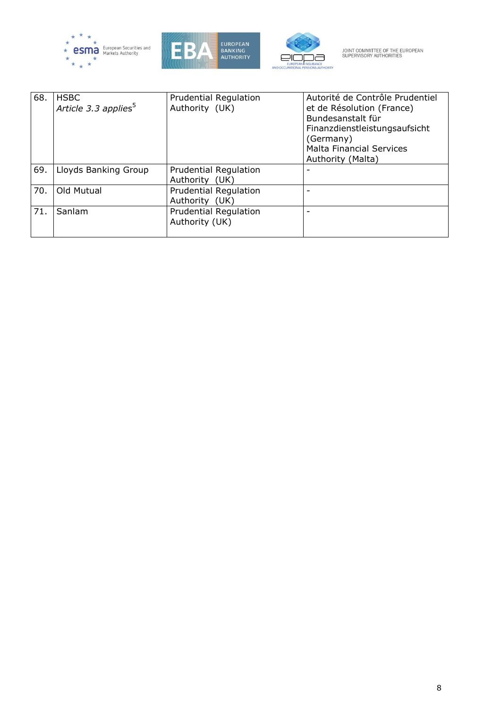





| 68. | <b>HSBC</b><br>Article 3.3 applies <sup>5</sup> | <b>Prudential Regulation</b><br>Authority (UK) | Autorité de Contrôle Prudentiel<br>et de Résolution (France)<br>Bundesanstalt für<br>Finanzdienstleistungsaufsicht<br>(Germany)<br><b>Malta Financial Services</b><br>Authority (Malta) |
|-----|-------------------------------------------------|------------------------------------------------|-----------------------------------------------------------------------------------------------------------------------------------------------------------------------------------------|
| 69. | Lloyds Banking Group                            | <b>Prudential Regulation</b><br>Authority (UK) |                                                                                                                                                                                         |
| 70. | Old Mutual                                      | <b>Prudential Regulation</b><br>Authority (UK) |                                                                                                                                                                                         |
| 71. | Sanlam                                          | <b>Prudential Regulation</b><br>Authority (UK) | ۰                                                                                                                                                                                       |